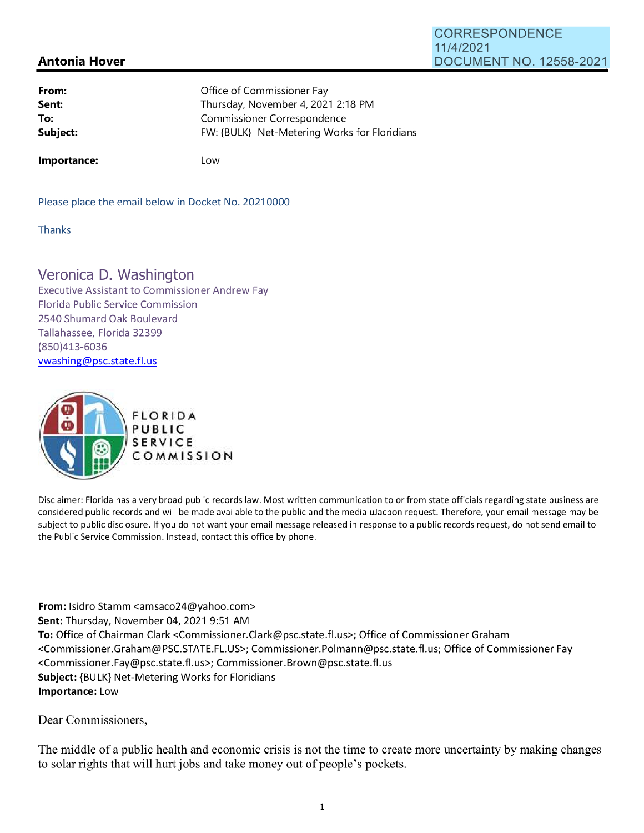## **Antonia Hover**  11/4/2021 DOCUMENT NO. 12558-2021

**CORRESPONDENCE** 

| Office of Commissioner Fay                   |
|----------------------------------------------|
| Thursday, November 4, 2021 2:18 PM           |
| Commissioner Correspondence                  |
| FW: {BULK} Net-Metering Works for Floridians |
|                                              |

**Importance:** 

Low

Please place the email below in Docket No. 20210000

Thanks

## Veronica D. Washington

Executive Assistant to Commissioner Andrew Fay Florida Public Service Commission 2540 Shumard Oak Boulevard Tallahassee, Florida 32399 (850)413-6036 vwashing@psc.state.fl.us



Disclaimer: Florida has a very broad public records law. Most written communication to or from state officials regarding state business are considered public records and will be made available to the public and the media uJacpon request. Therefore, your email message may be subject to public disclosure. If you do not want your email message released in response to a public records request, do not send email to the Public Service Commission. Instead, contact this office by phone.

**From:** Isidro Stamm <amsaco24@yahoo.com> **Sent:** Thursday, November 04, 2021 9:51 AM **To:** Office of Chairman Clark <Commissioner.Clark@psc.state.fl.us>; Office of Commissioner Graham <Commissioner.Graham@PSC.STATE.FL.US>; Commissioner.Polmann@psc.state.fl.us; Office of Commissioner Fay <Commissioner.Fay@psc.state.fl.us>; Commissioner.Brown@psc.state.fl.us **Subject:** {BULK} Net-Metering Works for Floridians **Importance:** Low

Dear Commissioners,

The middle of a public health and economic crisis is not the time to create more uncertainty by making changes to solar rights that will hurt jobs and take money out of people's pockets.